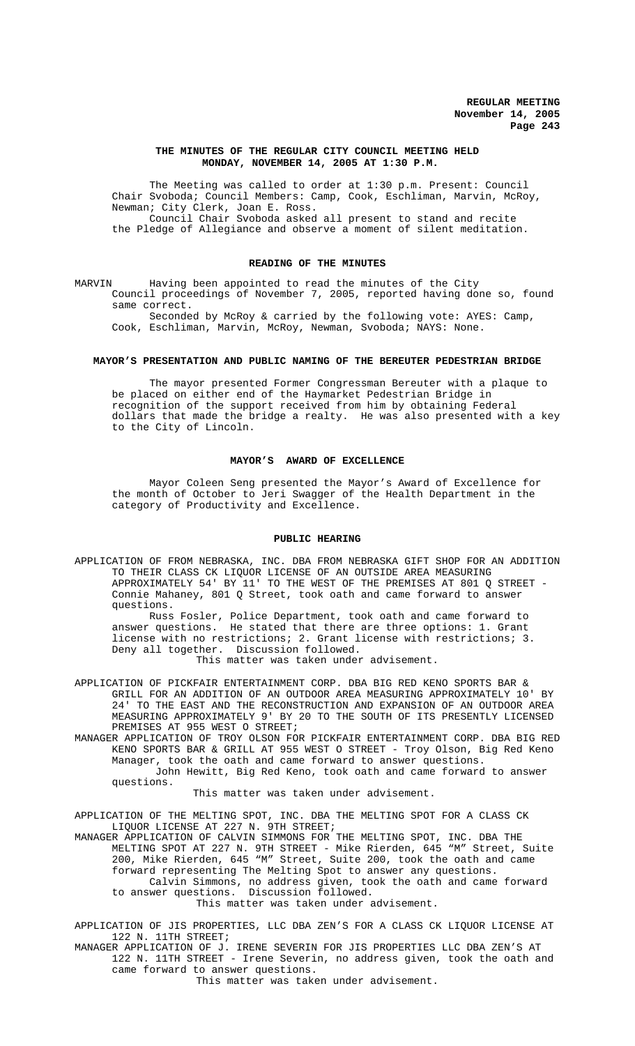# **THE MINUTES OF THE REGULAR CITY COUNCIL MEETING HELD MONDAY, NOVEMBER 14, 2005 AT 1:30 P.M.**

The Meeting was called to order at 1:30 p.m. Present: Council Chair Svoboda; Council Members: Camp, Cook, Eschliman, Marvin, McRoy, Newman; City Clerk, Joan E. Ross. Council Chair Svoboda asked all present to stand and recite the Pledge of Allegiance and observe a moment of silent meditation.

# **READING OF THE MINUTES**

MARVIN Having been appointed to read the minutes of the City Council proceedings of November 7, 2005, reported having done so, found same correct.

Seconded by McRoy & carried by the following vote: AYES: Camp, Cook, Eschliman, Marvin, McRoy, Newman, Svoboda; NAYS: None.

# **MAYOR'S PRESENTATION AND PUBLIC NAMING OF THE BEREUTER PEDESTRIAN BRIDGE**

The mayor presented Former Congressman Bereuter with a plaque to be placed on either end of the Haymarket Pedestrian Bridge in recognition of the support received from him by obtaining Federal dollars that made the bridge a realty. He was also presented with a key to the City of Lincoln.

## **MAYOR'S AWARD OF EXCELLENCE**

Mayor Coleen Seng presented the Mayor's Award of Excellence for the month of October to Jeri Swagger of the Health Department in the category of Productivity and Excellence.

#### **PUBLIC HEARING**

APPLICATION OF FROM NEBRASKA, INC. DBA FROM NEBRASKA GIFT SHOP FOR AN ADDITION TO THEIR CLASS CK LIQUOR LICENSE OF AN OUTSIDE AREA MEASURING APPROXIMATELY 54' BY 11' TO THE WEST OF THE PREMISES AT 801 Q STREET - Connie Mahaney, 801 Q Street, took oath and came forward to answer questions.

Russ Fosler, Police Department, took oath and came forward to answer questions. He stated that there are three options: 1. Grant license with no restrictions; 2. Grant license with restrictions; 3. Deny all together. Discussion followed. This matter was taken under advisement.

APPLICATION OF PICKFAIR ENTERTAINMENT CORP. DBA BIG RED KENO SPORTS BAR & GRILL FOR AN ADDITION OF AN OUTDOOR AREA MEASURING APPROXIMATELY 10' BY 24' TO THE EAST AND THE RECONSTRUCTION AND EXPANSION OF AN OUTDOOR AREA MEASURING APPROXIMATELY 9' BY 20 TO THE SOUTH OF ITS PRESENTLY LICENSED PREMISES AT 955 WEST O STREET;

MANAGER APPLICATION OF TROY OLSON FOR PICKFAIR ENTERTAINMENT CORP. DBA BIG RED KENO SPORTS BAR & GRILL AT 955 WEST O STREET - Troy Olson, Big Red Keno Manager, took the oath and came forward to answer questions.

 John Hewitt, Big Red Keno, took oath and came forward to answer questions.

This matter was taken under advisement.

APPLICATION OF THE MELTING SPOT, INC. DBA THE MELTING SPOT FOR A CLASS CK LIQUOR LICENSE AT 227 N. 9TH STREET;

MANAGER APPLICATION OF CALVIN SIMMONS FOR THE MELTING SPOT, INC. DBA THE MELTING SPOT AT 227 N. 9TH STREET - Mike Rierden, 645 "M" Street, Suite 200, Mike Rierden, 645 "M" Street, Suite 200, took the oath and came forward representing The Melting Spot to answer any questions.

Calvin Simmons, no address given, took the oath and came forward to answer questions. Discussion followed.

This matter was taken under advisement.

APPLICATION OF JIS PROPERTIES, LLC DBA ZEN'S FOR A CLASS CK LIQUOR LICENSE AT 122 N. 11TH STREET;

MANAGER APPLICATION OF J. IRENE SEVERIN FOR JIS PROPERTIES LLC DBA ZEN'S AT 122 N. 11TH STREET - Irene Severin, no address given, took the oath and came forward to answer questions.

This matter was taken under advisement.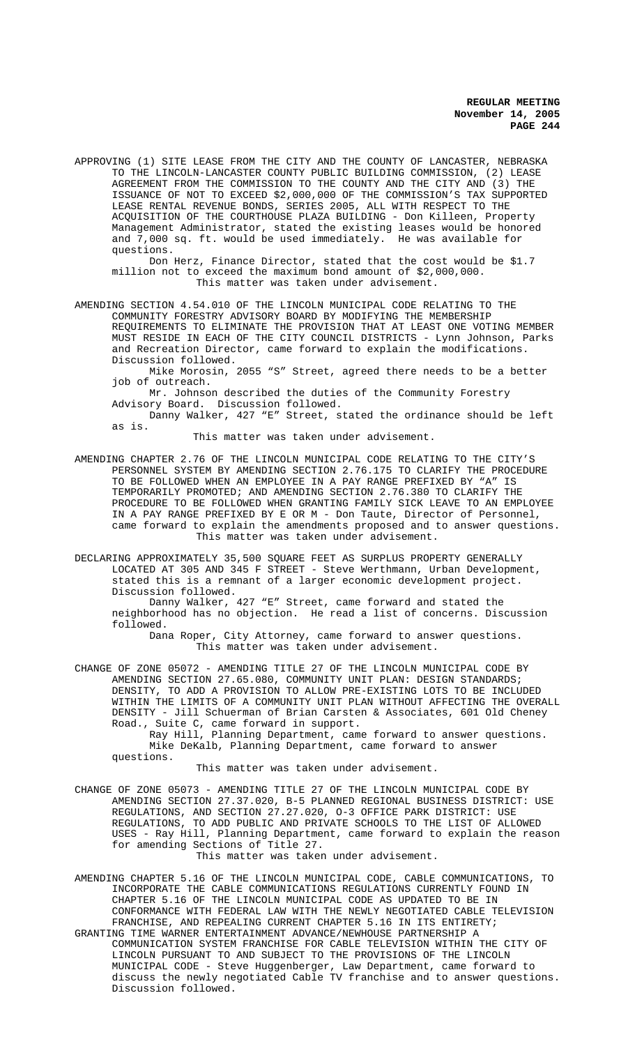APPROVING (1) SITE LEASE FROM THE CITY AND THE COUNTY OF LANCASTER, NEBRASKA TO THE LINCOLN-LANCASTER COUNTY PUBLIC BUILDING COMMISSION, (2) LEASE AGREEMENT FROM THE COMMISSION TO THE COUNTY AND THE CITY AND (3) THE ISSUANCE OF NOT TO EXCEED \$2,000,000 OF THE COMMISSION'S TAX SUPPORTED LEASE RENTAL REVENUE BONDS, SERIES 2005, ALL WITH RESPECT TO THE ACQUISITION OF THE COURTHOUSE PLAZA BUILDING - Don Killeen, Property Management Administrator, stated the existing leases would be honored and 7,000 sq. ft. would be used immediately. He was available for questions.

Don Herz, Finance Director, stated that the cost would be \$1.7 million not to exceed the maximum bond amount of \$2,000,000. This matter was taken under advisement.

AMENDING SECTION 4.54.010 OF THE LINCOLN MUNICIPAL CODE RELATING TO THE COMMUNITY FORESTRY ADVISORY BOARD BY MODIFYING THE MEMBERSHIP REQUIREMENTS TO ELIMINATE THE PROVISION THAT AT LEAST ONE VOTING MEMBER MUST RESIDE IN EACH OF THE CITY COUNCIL DISTRICTS - Lynn Johnson, Parks and Recreation Director, came forward to explain the modifications. Discussion followed.

Mike Morosin, 2055 "S" Street, agreed there needs to be a better job of outreach.

Mr. Johnson described the duties of the Community Forestry Advisory Board. Discussion followed.

Danny Walker, 427 "E" Street, stated the ordinance should be left as is.

This matter was taken under advisement.

AMENDING CHAPTER 2.76 OF THE LINCOLN MUNICIPAL CODE RELATING TO THE CITY'S PERSONNEL SYSTEM BY AMENDING SECTION 2.76.175 TO CLARIFY THE PROCEDURE TO BE FOLLOWED WHEN AN EMPLOYEE IN A PAY RANGE PREFIXED BY "A" IS TEMPORARILY PROMOTED; AND AMENDING SECTION 2.76.380 TO CLARIFY THE PROCEDURE TO BE FOLLOWED WHEN GRANTING FAMILY SICK LEAVE TO AN EMPLOYEE IN A PAY RANGE PREFIXED BY E OR M - Don Taute, Director of Personnel, came forward to explain the amendments proposed and to answer questions. This matter was taken under advisement.

DECLARING APPROXIMATELY 35,500 SQUARE FEET AS SURPLUS PROPERTY GENERALLY LOCATED AT 305 AND 345 F STREET - Steve Werthmann, Urban Development, stated this is a remnant of a larger economic development project. Discussion followed.

Danny Walker, 427 "E" Street, came forward and stated the neighborhood has no objection. He read a list of concerns. Discussion followed.

Dana Roper, City Attorney, came forward to answer questions. This matter was taken under advisement.

CHANGE OF ZONE 05072 - AMENDING TITLE 27 OF THE LINCOLN MUNICIPAL CODE BY AMENDING SECTION 27.65.080, COMMUNITY UNIT PLAN: DESIGN STANDARDS; DENSITY, TO ADD A PROVISION TO ALLOW PRE-EXISTING LOTS TO BE INCLUDED WITHIN THE LIMITS OF A COMMUNITY UNIT PLAN WITHOUT AFFECTING THE OVERALL DENSITY - Jill Schuerman of Brian Carsten & Associates, 601 Old Cheney Road., Suite C, came forward in support.

Ray Hill, Planning Department, came forward to answer questions. Mike DeKalb, Planning Department, came forward to answer questions.

This matter was taken under advisement.

CHANGE OF ZONE 05073 - AMENDING TITLE 27 OF THE LINCOLN MUNICIPAL CODE BY AMENDING SECTION 27.37.020, B-5 PLANNED REGIONAL BUSINESS DISTRICT: USE REGULATIONS, AND SECTION 27.27.020, O-3 OFFICE PARK DISTRICT: USE<br>REGULATIONS, TO ADD PUBLIC AND PRIVATE SCHOOLS TO THE LIST OF ALLO TO ADD PUBLIC AND PRIVATE SCHOOLS TO THE LIST OF ALLOWED USES - Ray Hill, Planning Department, came forward to explain the reason for amending Sections of Title 27.

This matter was taken under advisement.

AMENDING CHAPTER 5.16 OF THE LINCOLN MUNICIPAL CODE, CABLE COMMUNICATIONS, TO INCORPORATE THE CABLE COMMUNICATIONS REGULATIONS CURRENTLY FOUND IN CHAPTER 5.16 OF THE LINCOLN MUNICIPAL CODE AS UPDATED TO BE IN CONFORMANCE WITH FEDERAL LAW WITH THE NEWLY NEGOTIATED CABLE TELEVISION FRANCHISE, AND REPEALING CURRENT CHAPTER 5.16 IN ITS ENTIRETY;

GRANTING TIME WARNER ENTERTAINMENT ADVANCE/NEWHOUSE PARTNERSHIP A COMMUNICATION SYSTEM FRANCHISE FOR CABLE TELEVISION WITHIN THE CITY OF LINCOLN PURSUANT TO AND SUBJECT TO THE PROVISIONS OF THE LINCOLN MUNICIPAL CODE - Steve Huggenberger, Law Department, came forward to discuss the newly negotiated Cable TV franchise and to answer questions. Discussion followed.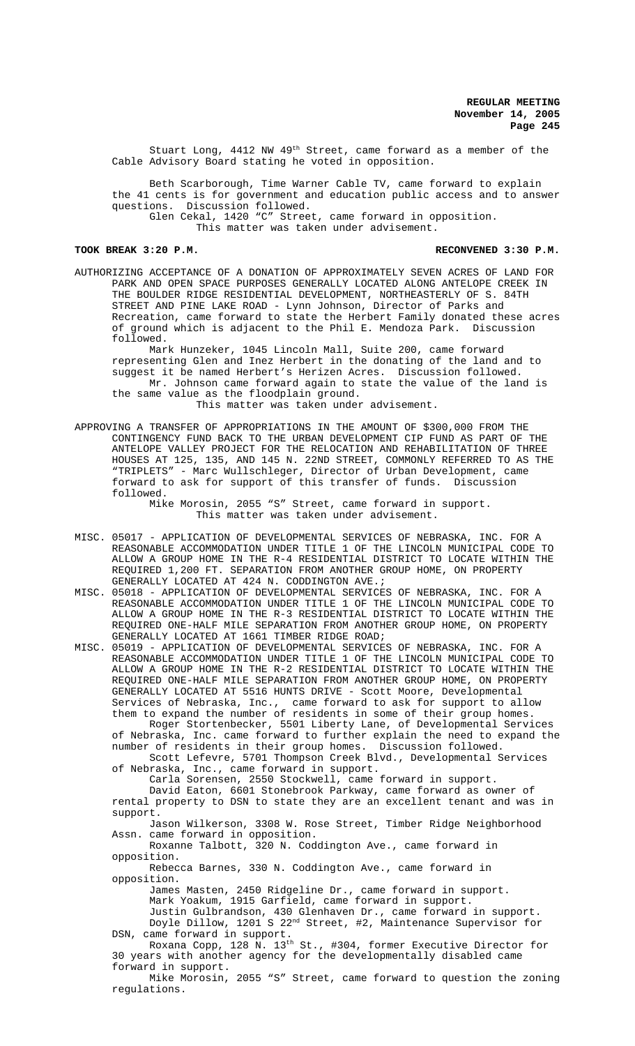Stuart Long, 4412 NW 49<sup>th</sup> Street, came forward as a member of the Cable Advisory Board stating he voted in opposition.

Beth Scarborough, Time Warner Cable TV, came forward to explain the 41 cents is for government and education public access and to answer questions. Discussion followed. Glen Cekal, 1420 "C" Street, came forward in opposition.

This matter was taken under advisement.

**TOOK BREAK 3:20 P.M. RECONVENED 3:30 P.M.**

AUTHORIZING ACCEPTANCE OF A DONATION OF APPROXIMATELY SEVEN ACRES OF LAND FOR PARK AND OPEN SPACE PURPOSES GENERALLY LOCATED ALONG ANTELOPE CREEK IN THE BOULDER RIDGE RESIDENTIAL DEVELOPMENT, NORTHEASTERLY OF S. 84TH STREET AND PINE LAKE ROAD - Lynn Johnson, Director of Parks and Recreation, came forward to state the Herbert Family donated these acres of ground which is adjacent to the Phil E. Mendoza Park. Discussion followed.

Mark Hunzeker, 1045 Lincoln Mall, Suite 200, came forward representing Glen and Inez Herbert in the donating of the land and to suggest it be named Herbert's Herizen Acres. Discussion followed. Mr. Johnson came forward again to state the value of the land is the same value as the floodplain ground.

This matter was taken under advisement.

APPROVING A TRANSFER OF APPROPRIATIONS IN THE AMOUNT OF \$300,000 FROM THE CONTINGENCY FUND BACK TO THE URBAN DEVELOPMENT CIP FUND AS PART OF THE ANTELOPE VALLEY PROJECT FOR THE RELOCATION AND REHABILITATION OF THREE HOUSES AT 125, 135, AND 145 N. 22ND STREET, COMMONLY REFERRED TO AS THE "TRIPLETS" - Marc Wullschleger, Director of Urban Development, came forward to ask for support of this transfer of funds. Discussion followed.

Mike Morosin, 2055 "S" Street, came forward in support. This matter was taken under advisement.

- MISC. 05017 APPLICATION OF DEVELOPMENTAL SERVICES OF NEBRASKA, INC. FOR A REASONABLE ACCOMMODATION UNDER TITLE 1 OF THE LINCOLN MUNICIPAL CODE TO ALLOW A GROUP HOME IN THE R-4 RESIDENTIAL DISTRICT TO LOCATE WITHIN THE REQUIRED 1,200 FT. SEPARATION FROM ANOTHER GROUP HOME, ON PROPERTY GENERALLY LOCATED AT 424 N. CODDINGTON AVE.;
- MISC. 05018 APPLICATION OF DEVELOPMENTAL SERVICES OF NEBRASKA, INC. FOR A REASONABLE ACCOMMODATION UNDER TITLE 1 OF THE LINCOLN MUNICIPAL CODE TO ALLOW A GROUP HOME IN THE R-3 RESIDENTIAL DISTRICT TO LOCATE WITHIN THE REQUIRED ONE-HALF MILE SEPARATION FROM ANOTHER GROUP HOME, ON PROPERTY GENERALLY LOCATED AT 1661 TIMBER RIDGE ROAD;
- MISC. 05019 APPLICATION OF DEVELOPMENTAL SERVICES OF NEBRASKA, INC. FOR A REASONABLE ACCOMMODATION UNDER TITLE 1 OF THE LINCOLN MUNICIPAL CODE TO ALLOW A GROUP HOME IN THE R-2 RESIDENTIAL DISTRICT TO LOCATE WITHIN THE REQUIRED ONE-HALF MILE SEPARATION FROM ANOTHER GROUP HOME, ON PROPERTY GENERALLY LOCATED AT 5516 HUNTS DRIVE - Scott Moore, Developmental Services of Nebraska, Inc., came forward to ask for support to allow them to expand the number of residents in some of their group homes.

Roger Stortenbecker, 5501 Liberty Lane, of Developmental Services of Nebraska, Inc. came forward to further explain the need to expand the number of residents in their group homes. Discussion followed.

Scott Lefevre, 5701 Thompson Creek Blvd., Developmental Services of Nebraska, Inc., came forward in support.

Carla Sorensen, 2550 Stockwell, came forward in support.

David Eaton, 6601 Stonebrook Parkway, came forward as owner of rental property to DSN to state they are an excellent tenant and was in support.

Jason Wilkerson, 3308 W. Rose Street, Timber Ridge Neighborhood Assn. came forward in opposition.

Roxanne Talbott, 320 N. Coddington Ave., came forward in opposition.

Rebecca Barnes, 330 N. Coddington Ave., came forward in opposition.

James Masten, 2450 Ridgeline Dr., came forward in support.

Mark Yoakum, 1915 Garfield, came forward in support.

Justin Gulbrandson, 430 Glenhaven Dr., came forward in support. Doyle Dillow, 1201 S 22<sup>nd</sup> Street, #2, Maintenance Supervisor for DSN, came forward in support.

Roxana Copp, 128 N. 13th St., #304, former Executive Director for 30 years with another agency for the developmentally disabled came forward in support.

Mike Morosin, 2055 "S" Street, came forward to question the zoning regulations.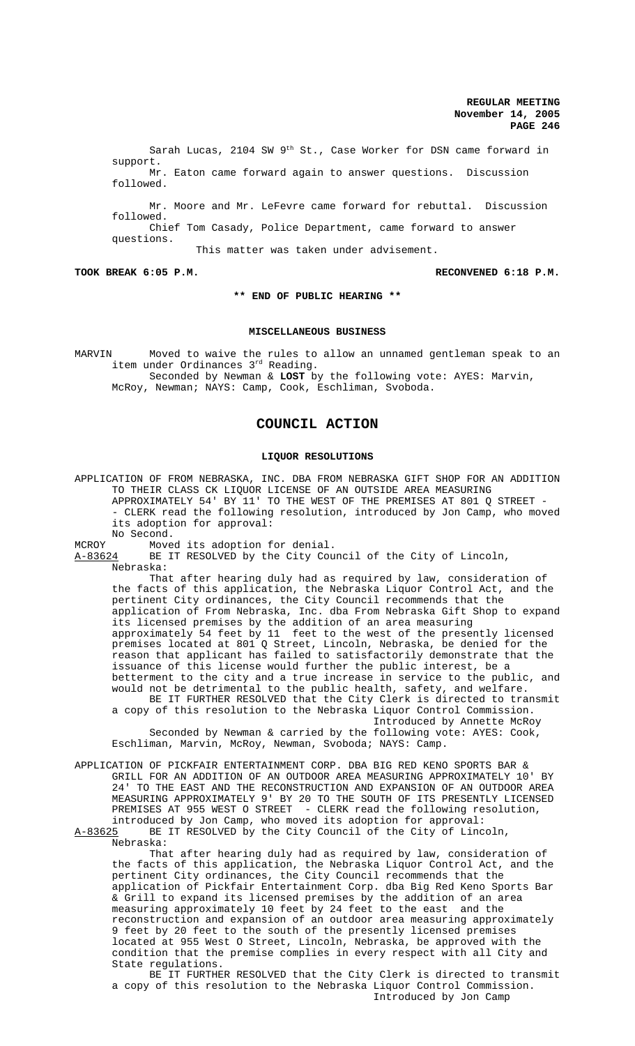Sarah Lucas, 2104 SW 9th St., Case Worker for DSN came forward in support. Mr. Eaton came forward again to answer questions. Discussion

followed.

Mr. Moore and Mr. LeFevre came forward for rebuttal. Discussion followed. Chief Tom Casady, Police Department, came forward to answer questions.

This matter was taken under advisement.

**TOOK BREAK 6:05 P.M. RECONVENED 6:18 P.M.**

## **\*\* END OF PUBLIC HEARING \*\***

# **MISCELLANEOUS BUSINESS**

MARVIN Moved to waive the rules to allow an unnamed gentleman speak to an item under Ordinances 3rd Reading. Seconded by Newman & **LOST** by the following vote: AYES: Marvin,

McRoy, Newman; NAYS: Camp, Cook, Eschliman, Svoboda.

# **COUNCIL ACTION**

# **LIQUOR RESOLUTIONS**

APPLICATION OF FROM NEBRASKA, INC. DBA FROM NEBRASKA GIFT SHOP FOR AN ADDITION TO THEIR CLASS CK LIQUOR LICENSE OF AN OUTSIDE AREA MEASURING APPROXIMATELY 54' BY 11' TO THE WEST OF THE PREMISES AT 801 Q STREET - - CLERK read the following resolution, introduced by Jon Camp, who moved its adoption for approval: No Second.

MCROY Moved its adoption for denial.

A-83624 BE IT RESOLVED by the City Council of the City of Lincoln,

Nebraska:

That after hearing duly had as required by law, consideration of the facts of this application, the Nebraska Liquor Control Act, and the pertinent City ordinances, the City Council recommends that the application of From Nebraska, Inc. dba From Nebraska Gift Shop to expand its licensed premises by the addition of an area measuring approximately 54 feet by 11 feet to the west of the presently licensed premises located at 801 Q Street, Lincoln, Nebraska, be denied for the reason that applicant has failed to satisfactorily demonstrate that the issuance of this license would further the public interest, be a betterment to the city and a true increase in service to the public, and would not be detrimental to the public health, safety, and welfare. BE IT FURTHER RESOLVED that the City Clerk is directed to transmit a copy of this resolution to the Nebraska Liquor Control Commission. Introduced by Annette McRoy

Seconded by Newman & carried by the following vote: AYES: Cook, Eschliman, Marvin, McRoy, Newman, Svoboda; NAYS: Camp.

APPLICATION OF PICKFAIR ENTERTAINMENT CORP. DBA BIG RED KENO SPORTS BAR & GRILL FOR AN ADDITION OF AN OUTDOOR AREA MEASURING APPROXIMATELY 10' BY 24' TO THE EAST AND THE RECONSTRUCTION AND EXPANSION OF AN OUTDOOR AREA MEASURING APPROXIMATELY 9' BY 20 TO THE SOUTH OF ITS PRESENTLY LICENSED PREMISES AT 955 WEST O STREET - CLERK read the following resolution, introduced by Jon Camp, who moved its adoption for approval: A-83625 BE IT RESOLVED by the City Council of the City of Lincoln,

Nebraska:

That after hearing duly had as required by law, consideration of the facts of this application, the Nebraska Liquor Control Act, and the pertinent City ordinances, the City Council recommends that the application of Pickfair Entertainment Corp. dba Big Red Keno Sports Bar & Grill to expand its licensed premises by the addition of an area measuring approximately 10 feet by 24 feet to the east and the reconstruction and expansion of an outdoor area measuring approximately 9 feet by 20 feet to the south of the presently licensed premises located at 955 West O Street, Lincoln, Nebraska, be approved with the condition that the premise complies in every respect with all City and State regulations.

BE IT FURTHER RESOLVED that the City Clerk is directed to transmit a copy of this resolution to the Nebraska Liquor Control Commission. Introduced by Jon Camp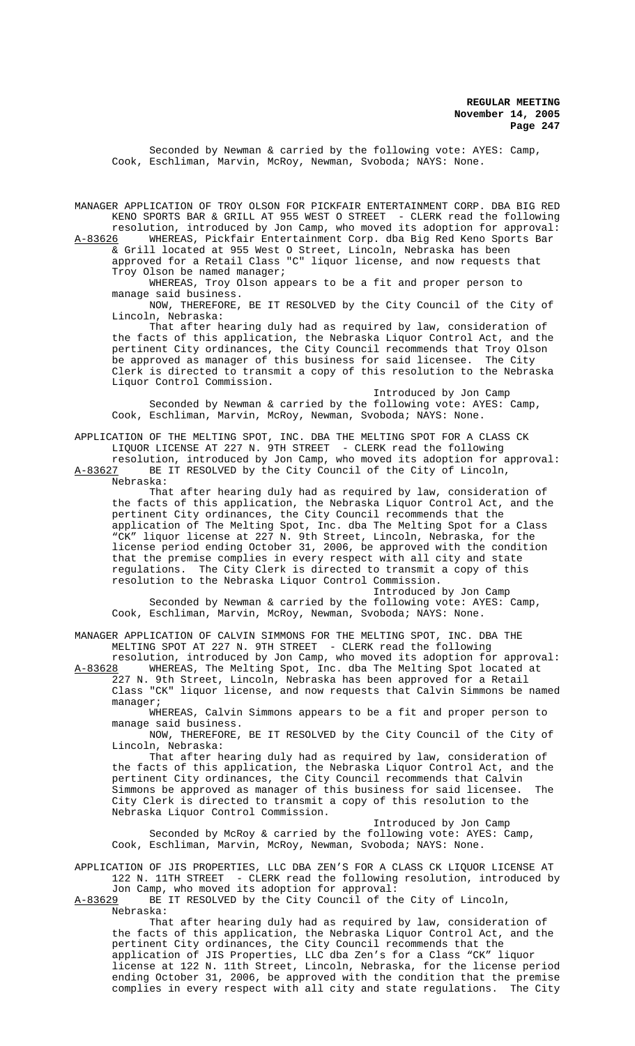Seconded by Newman & carried by the following vote: AYES: Camp, Cook, Eschliman, Marvin, McRoy, Newman, Svoboda; NAYS: None.

MANAGER APPLICATION OF TROY OLSON FOR PICKFAIR ENTERTAINMENT CORP. DBA BIG RED KENO SPORTS BAR & GRILL AT 955 WEST O STREET - CLERK read the following resolution, introduced by Jon Camp, who moved its adoption for approval: A-83626 WHEREAS, Pickfair Entertainment Corp. dba Big Red Keno Sports Bar

& Grill located at 955 West O Street, Lincoln, Nebraska has been approved for a Retail Class "C" liquor license, and now requests that Troy Olson be named manager;

WHEREAS, Troy Olson appears to be a fit and proper person to manage said business.

NOW, THEREFORE, BE IT RESOLVED by the City Council of the City of Lincoln, Nebraska:

That after hearing duly had as required by law, consideration of the facts of this application, the Nebraska Liquor Control Act, and the pertinent City ordinances, the City Council recommends that Troy Olson be approved as manager of this business for said licensee. The City Clerk is directed to transmit a copy of this resolution to the Nebraska Liquor Control Commission.

Introduced by Jon Camp Seconded by Newman & carried by the following vote: AYES: Camp, Cook, Eschliman, Marvin, McRoy, Newman, Svoboda; NAYS: None.

APPLICATION OF THE MELTING SPOT, INC. DBA THE MELTING SPOT FOR A CLASS CK LIQUOR LICENSE AT 227 N. 9TH STREET - CLERK read the following

resolution, introduced by Jon Camp, who moved its adoption for approval:<br>A-83627 BE IT RESOLVED by the City Council of the City of Lincoln, BE IT RESOLVED by the City Council of the City of Lincoln, Nebraska:

That after hearing duly had as required by law, consideration of the facts of this application, the Nebraska Liquor Control Act, and the pertinent City ordinances, the City Council recommends that the application of The Melting Spot, Inc. dba The Melting Spot for a Class "CK" liquor license at 227 N. 9th Street, Lincoln, Nebraska, for the license period ending October 31, 2006, be approved with the condition that the premise complies in every respect with all city and state regulations. The City Clerk is directed to transmit a copy of this resolution to the Nebraska Liquor Control Commission.

Introduced by Jon Camp Seconded by Newman & carried by the following vote: AYES: Camp, Cook, Eschliman, Marvin, McRoy, Newman, Svoboda; NAYS: None.

MANAGER APPLICATION OF CALVIN SIMMONS FOR THE MELTING SPOT, INC. DBA THE MELTING SPOT AT 227 N. 9TH STREET - CLERK read the following

resolution, introduced by Jon Camp, who moved its adoption for approval: A-83628 WHEREAS, The Melting Spot, Inc. dba The Melting Spot located at 227 N. 9th Street, Lincoln, Nebraska has been approved for a Retail Class "CK" liquor license, and now requests that Calvin Simmons be named manager;

WHEREAS, Calvin Simmons appears to be a fit and proper person to manage said business.

NOW, THEREFORE, BE IT RESOLVED by the City Council of the City of Lincoln, Nebraska:

That after hearing duly had as required by law, consideration of the facts of this application, the Nebraska Liquor Control Act, and the pertinent City ordinances, the City Council recommends that Calvin Simmons be approved as manager of this business for said licensee. The City Clerk is directed to transmit a copy of this resolution to the Nebraska Liquor Control Commission.

Introduced by Jon Camp Seconded by McRoy & carried by the following vote: AYES: Camp, Cook, Eschliman, Marvin, McRoy, Newman, Svoboda; NAYS: None.

APPLICATION OF JIS PROPERTIES, LLC DBA ZEN'S FOR A CLASS CK LIQUOR LICENSE AT 122 N. 11TH STREET - CLERK read the following resolution, introduced by

Jon Camp, who moved its adoption for approval:<br>A-83629 BE IT RESOLVED by the City Council of th BE IT RESOLVED by the City Council of the City of Lincoln, Nebraska:

That after hearing duly had as required by law, consideration of the facts of this application, the Nebraska Liquor Control Act, and the pertinent City ordinances, the City Council recommends that the application of JIS Properties, LLC dba Zen's for a Class "CK" liquor license at 122 N. 11th Street, Lincoln, Nebraska, for the license period ending October 31, 2006, be approved with the condition that the premise complies in every respect with all city and state regulations. The City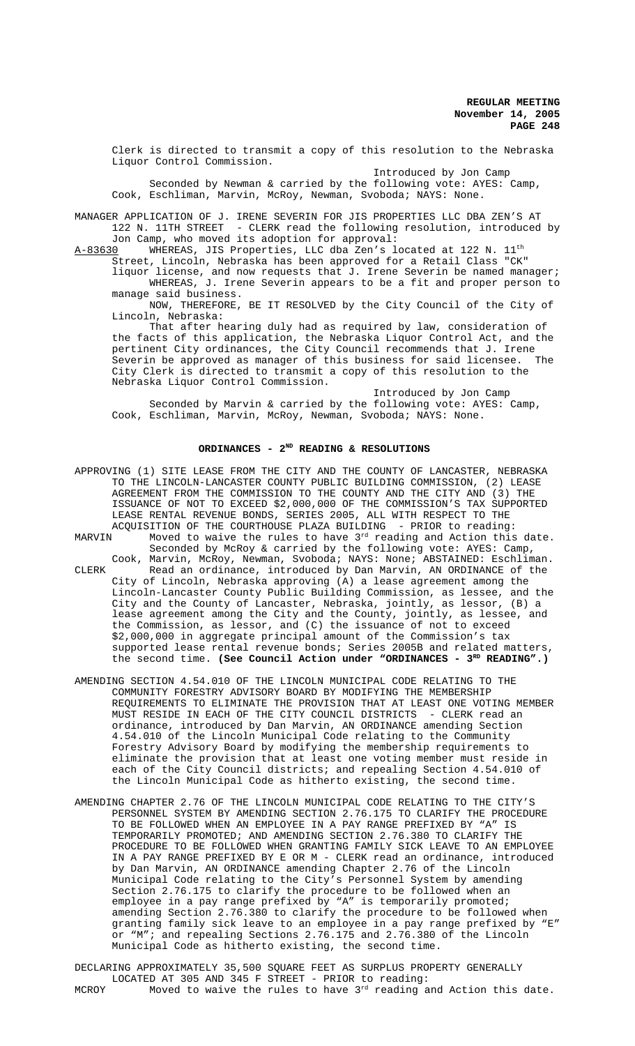Clerk is directed to transmit a copy of this resolution to the Nebraska Liquor Control Commission.

Introduced by Jon Camp Seconded by Newman & carried by the following vote: AYES: Camp, Cook, Eschliman, Marvin, McRoy, Newman, Svoboda; NAYS: None.

MANAGER APPLICATION OF J. IRENE SEVERIN FOR JIS PROPERTIES LLC DBA ZEN'S AT 122 N. 11TH STREET - CLERK read the following resolution, introduced by

Jon Camp, who moved its adoption for approval:<br>A-83630 WHEREAS, JIS Properties, LLC dba Zen's l WHEREAS, JIS Properties, LLC dba Zen's located at 122 N. 11<sup>th</sup>

Street, Lincoln, Nebraska has been approved for a Retail Class "CK" liquor license, and now requests that J. Irene Severin be named manager; WHEREAS, J. Irene Severin appears to be a fit and proper person to manage said business.

NOW, THEREFORE, BE IT RESOLVED by the City Council of the City of Lincoln, Nebraska:

That after hearing duly had as required by law, consideration of the facts of this application, the Nebraska Liquor Control Act, and the pertinent City ordinances, the City Council recommends that J. Irene Severin be approved as manager of this business for said licensee. The City Clerk is directed to transmit a copy of this resolution to the Nebraska Liquor Control Commission.

Introduced by Jon Camp Seconded by Marvin & carried by the following vote: AYES: Camp, Cook, Eschliman, Marvin, McRoy, Newman, Svoboda; NAYS: None.

# ORDINANCES - 2<sup>ND</sup> READING & RESOLUTIONS

| APPROVING (1) SITE LEASE FROM THE CITY AND THE COUNTY OF LANCASTER, NEBRASKA |
|------------------------------------------------------------------------------|
| TO THE LINCOLN-LANCASTER COUNTY PUBLIC BUILDING COMMISSION, (2) LEASE        |
| AGREEMENT FROM THE COMMISSION TO THE COUNTY AND THE CITY AND (3) THE         |
| ISSUANCE OF NOT TO EXCEED \$2,000,000 OF THE COMMISSION'S TAX SUPPORTED      |
| LEASE RENTAL REVENUE BONDS, SERIES 2005, ALL WITH RESPECT TO THE             |
| ACOUISITION OF THE COURTHOUSE PLAZA BUILDING - PRIOR to reading:             |
| Moved to waive the rules to have 3rd reading and Action this date.<br>MARVIN |
| Seconded by McRoy & carried by the following vote: AYES: Camp,               |
| Cook, Marvin, McRoy, Newman, Svoboda; NAYS: None; ABSTAINED: Eschliman.      |
| Read an ordinance, introduced by Dan Marvin, AN ORDINANCE of the<br>CLERK    |
| City of Lincoln, Nebraska approving (A) a lease agreement among the          |
| Lincoln-Lancaster County Public Building Commission, as lessee, and the      |
| City and the County of Lancaster, Nebraska, jointly, as lessor, (B) a        |
| lease agreement among the City and the County, jointly, as lessee, and       |
| the Commission, as lessor, and (C) the issuance of not to exceed             |
| \$2,000,000 in aggregate principal amount of the Commission's tax            |
| supported lease rental revenue bonds; Series 2005B and related matters,      |
| the second time. (See Council Action under "ORDINANCES - $3^{RD}$ READING".) |
|                                                                              |
|                                                                              |

- AMENDING SECTION 4.54.010 OF THE LINCOLN MUNICIPAL CODE RELATING TO THE COMMUNITY FORESTRY ADVISORY BOARD BY MODIFYING THE MEMBERSHIP REQUIREMENTS TO ELIMINATE THE PROVISION THAT AT LEAST ONE VOTING MEMBER MUST RESIDE IN EACH OF THE CITY COUNCIL DISTRICTS - CLERK read an ordinance, introduced by Dan Marvin, AN ORDINANCE amending Section 4.54.010 of the Lincoln Municipal Code relating to the Community Forestry Advisory Board by modifying the membership requirements to eliminate the provision that at least one voting member must reside in each of the City Council districts; and repealing Section 4.54.010 of the Lincoln Municipal Code as hitherto existing, the second time.
- AMENDING CHAPTER 2.76 OF THE LINCOLN MUNICIPAL CODE RELATING TO THE CITY'S PERSONNEL SYSTEM BY AMENDING SECTION 2.76.175 TO CLARIFY THE PROCEDURE TO BE FOLLOWED WHEN AN EMPLOYEE IN A PAY RANGE PREFIXED BY "A" IS TEMPORARILY PROMOTED; AND AMENDING SECTION 2.76.380 TO CLARIFY THE PROCEDURE TO BE FOLLOWED WHEN GRANTING FAMILY SICK LEAVE TO AN EMPLOYEE IN A PAY RANGE PREFIXED BY E OR M - CLERK read an ordinance, introduced by Dan Marvin, AN ORDINANCE amending Chapter 2.76 of the Lincoln Municipal Code relating to the City's Personnel System by amending Section 2.76.175 to clarify the procedure to be followed when an employee in a pay range prefixed by "A" is temporarily promoted; amending Section 2.76.380 to clarify the procedure to be followed when granting family sick leave to an employee in a pay range prefixed by "E" or "M"; and repealing Sections 2.76.175 and 2.76.380 of the Lincoln Municipal Code as hitherto existing, the second time.

DECLARING APPROXIMATELY 35,500 SQUARE FEET AS SURPLUS PROPERTY GENERALLY LOCATED AT 305 AND 345 F STREET - PRIOR to reading: MCROY Moved to waive the rules to have  $3<sup>rd</sup>$  reading and Action this date.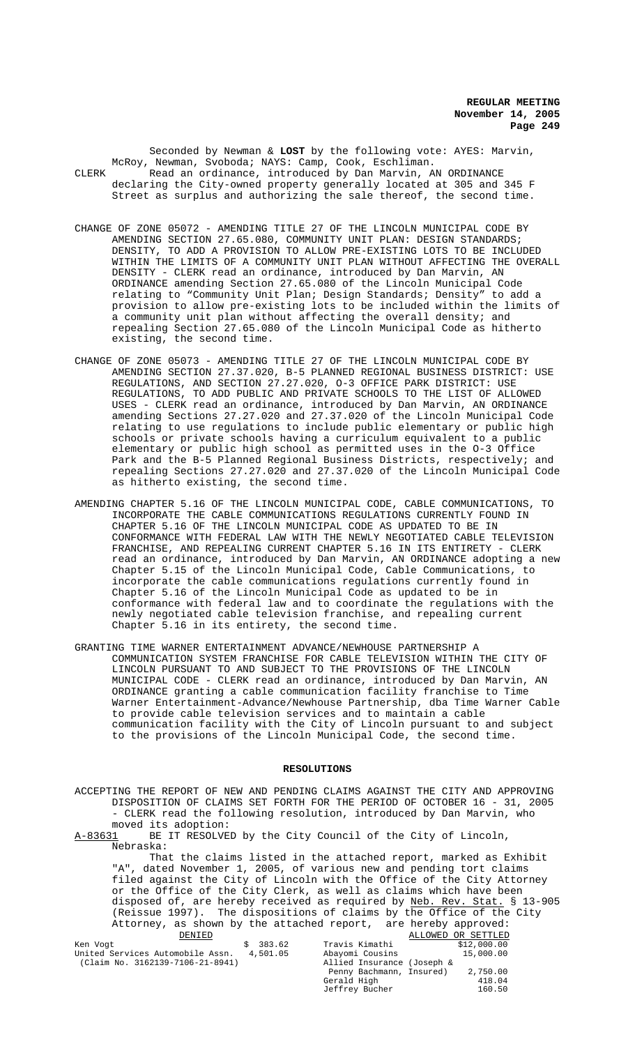Seconded by Newman & **LOST** by the following vote: AYES: Marvin, McRoy, Newman, Svoboda; NAYS: Camp, Cook, Eschliman. CLERK Read an ordinance, introduced by Dan Marvin, AN ORDINANCE declaring the City-owned property generally located at 305 and 345 F Street as surplus and authorizing the sale thereof, the second time.

- CHANGE OF ZONE 05072 AMENDING TITLE 27 OF THE LINCOLN MUNICIPAL CODE BY AMENDING SECTION 27.65.080, COMMUNITY UNIT PLAN: DESIGN STANDARDS; DENSITY, TO ADD A PROVISION TO ALLOW PRE-EXISTING LOTS TO BE INCLUDED WITHIN THE LIMITS OF A COMMUNITY UNIT PLAN WITHOUT AFFECTING THE OVERALL DENSITY - CLERK read an ordinance, introduced by Dan Marvin, AN ORDINANCE amending Section 27.65.080 of the Lincoln Municipal Code relating to "Community Unit Plan; Design Standards; Density" to add a provision to allow pre-existing lots to be included within the limits of a community unit plan without affecting the overall density; and repealing Section 27.65.080 of the Lincoln Municipal Code as hitherto existing, the second time.
- CHANGE OF ZONE 05073 AMENDING TITLE 27 OF THE LINCOLN MUNICIPAL CODE BY AMENDING SECTION 27.37.020, B-5 PLANNED REGIONAL BUSINESS DISTRICT: USE REGULATIONS, AND SECTION 27.27.020, O-3 OFFICE PARK DISTRICT: USE REGULATIONS, TO ADD PUBLIC AND PRIVATE SCHOOLS TO THE LIST OF ALLOWED USES - CLERK read an ordinance, introduced by Dan Marvin, AN ORDINANCE amending Sections 27.27.020 and 27.37.020 of the Lincoln Municipal Code relating to use regulations to include public elementary or public high schools or private schools having a curriculum equivalent to a public elementary or public high school as permitted uses in the O-3 Office Park and the B-5 Planned Regional Business Districts, respectively; and repealing Sections 27.27.020 and 27.37.020 of the Lincoln Municipal Code as hitherto existing, the second time.
- AMENDING CHAPTER 5.16 OF THE LINCOLN MUNICIPAL CODE, CABLE COMMUNICATIONS, TO INCORPORATE THE CABLE COMMUNICATIONS REGULATIONS CURRENTLY FOUND IN CHAPTER 5.16 OF THE LINCOLN MUNICIPAL CODE AS UPDATED TO BE IN CONFORMANCE WITH FEDERAL LAW WITH THE NEWLY NEGOTIATED CABLE TELEVISION FRANCHISE, AND REPEALING CURRENT CHAPTER 5.16 IN ITS ENTIRETY - CLERK read an ordinance, introduced by Dan Marvin, AN ORDINANCE adopting a new Chapter 5.15 of the Lincoln Municipal Code, Cable Communications, to incorporate the cable communications regulations currently found in Chapter 5.16 of the Lincoln Municipal Code as updated to be in conformance with federal law and to coordinate the regulations with the newly negotiated cable television franchise, and repealing current Chapter 5.16 in its entirety, the second time.
- GRANTING TIME WARNER ENTERTAINMENT ADVANCE/NEWHOUSE PARTNERSHIP A COMMUNICATION SYSTEM FRANCHISE FOR CABLE TELEVISION WITHIN THE CITY OF LINCOLN PURSUANT TO AND SUBJECT TO THE PROVISIONS OF THE LINCOLN MUNICIPAL CODE - CLERK read an ordinance, introduced by Dan Marvin, AN ORDINANCE granting a cable communication facility franchise to Time Warner Entertainment-Advance/Newhouse Partnership, dba Time Warner Cable to provide cable television services and to maintain a cable communication facility with the City of Lincoln pursuant to and subject to the provisions of the Lincoln Municipal Code, the second time.

## **RESOLUTIONS**

ACCEPTING THE REPORT OF NEW AND PENDING CLAIMS AGAINST THE CITY AND APPROVING DISPOSITION OF CLAIMS SET FORTH FOR THE PERIOD OF OCTOBER 16 - 31, 2005 - CLERK read the following resolution, introduced by Dan Marvin, who moved its adoption:<br>A-83631 BE IT RESOLVE

BE IT RESOLVED by the City Council of the City of Lincoln, Nebraska:

That the claims listed in the attached report, marked as Exhibit "A", dated November 1, 2005, of various new and pending tort claims filed against the City of Lincoln with the Office of the City Attorney or the Office of the City Clerk, as well as claims which have been disposed of, are hereby received as required by Neb. Rev. Stat. § 13-905 (Reissue 1997). The dispositions of claims by the Office of the City Attorney, as shown by the attached report, are hereby approved:<br>DENIED ALLOWED OR SETTLED ALLOWED OR SETTLED

Jeffrey Bucher

| Ken Voqt                         | 383.62   | Travis Kimathi             | \$12,000.00 |  |
|----------------------------------|----------|----------------------------|-------------|--|
| United Services Automobile Assn. | 4,501.05 | Abayomi Cousins            | 15,000.00   |  |
| (Claim No. 3162139-7106-21-8941) |          | Allied Insurance (Joseph & |             |  |
|                                  |          | Penny Bachmann, Insured)   | 2,750.00    |  |
|                                  |          | Gerald High                | 418.04      |  |
|                                  |          | Jeffrey Bucher             | 160.50      |  |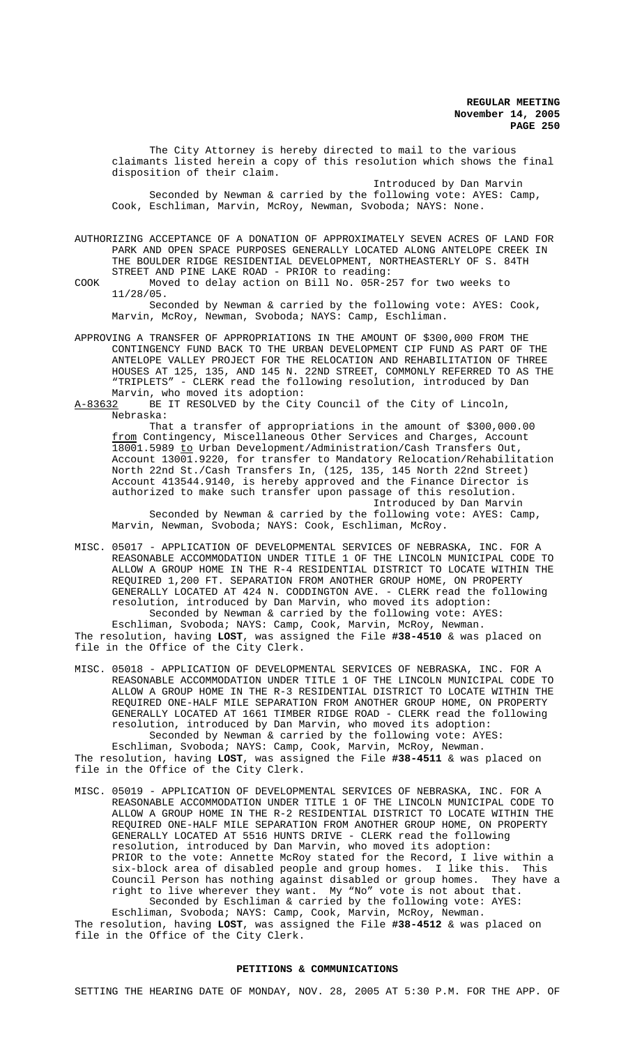The City Attorney is hereby directed to mail to the various claimants listed herein a copy of this resolution which shows the final disposition of their claim.

Introduced by Dan Marvin Seconded by Newman & carried by the following vote: AYES: Camp, Cook, Eschliman, Marvin, McRoy, Newman, Svoboda; NAYS: None.

AUTHORIZING ACCEPTANCE OF A DONATION OF APPROXIMATELY SEVEN ACRES OF LAND FOR PARK AND OPEN SPACE PURPOSES GENERALLY LOCATED ALONG ANTELOPE CREEK IN THE BOULDER RIDGE RESIDENTIAL DEVELOPMENT, NORTHEASTERLY OF S. 84TH STREET AND PINE LAKE ROAD - PRIOR to reading:

COOK Moved to delay action on Bill No. 05R-257 for two weeks to 11/28/05.

Seconded by Newman & carried by the following vote: AYES: Cook, Marvin, McRoy, Newman, Svoboda; NAYS: Camp, Eschliman.

APPROVING A TRANSFER OF APPROPRIATIONS IN THE AMOUNT OF \$300,000 FROM THE CONTINGENCY FUND BACK TO THE URBAN DEVELOPMENT CIP FUND AS PART OF THE ANTELOPE VALLEY PROJECT FOR THE RELOCATION AND REHABILITATION OF THREE HOUSES AT 125, 135, AND 145 N. 22ND STREET, COMMONLY REFERRED TO AS THE "TRIPLETS" - CLERK read the following resolution, introduced by Dan

Marvin, who moved its adoption:<br>A-83632 BE IT RESOLVED by the Cit BE IT RESOLVED by the City Council of the City of Lincoln, Nebraska:

That a transfer of appropriations in the amount of \$300,000.00 from Contingency, Miscellaneous Other Services and Charges, Account 18001.5989 to Urban Development/Administration/Cash Transfers Out, Account 13001.9220, for transfer to Mandatory Relocation/Rehabilitation North 22nd St./Cash Transfers In, (125, 135, 145 North 22nd Street) Account 413544.9140, is hereby approved and the Finance Director is authorized to make such transfer upon passage of this resolution. Introduced by Dan Marvin

Seconded by Newman & carried by the following vote: AYES: Camp, Marvin, Newman, Svoboda; NAYS: Cook, Eschliman, McRoy.

MISC. 05017 - APPLICATION OF DEVELOPMENTAL SERVICES OF NEBRASKA, INC. FOR A REASONABLE ACCOMMODATION UNDER TITLE 1 OF THE LINCOLN MUNICIPAL CODE TO ALLOW A GROUP HOME IN THE R-4 RESIDENTIAL DISTRICT TO LOCATE WITHIN THE REQUIRED 1,200 FT. SEPARATION FROM ANOTHER GROUP HOME, ON PROPERTY GENERALLY LOCATED AT 424 N. CODDINGTON AVE. - CLERK read the following resolution, introduced by Dan Marvin, who moved its adoption: Seconded by Newman & carried by the following vote: AYES:

Eschliman, Svoboda; NAYS: Camp, Cook, Marvin, McRoy, Newman. The resolution, having **LOST**, was assigned the File **#38-4510** & was placed on file in the Office of the City Clerk.

- MISC. 05018 APPLICATION OF DEVELOPMENTAL SERVICES OF NEBRASKA, INC. FOR A REASONABLE ACCOMMODATION UNDER TITLE 1 OF THE LINCOLN MUNICIPAL CODE TO ALLOW A GROUP HOME IN THE R-3 RESIDENTIAL DISTRICT TO LOCATE WITHIN THE REQUIRED ONE-HALF MILE SEPARATION FROM ANOTHER GROUP HOME, ON PROPERTY GENERALLY LOCATED AT 1661 TIMBER RIDGE ROAD - CLERK read the following resolution, introduced by Dan Marvin, who moved its adoption: Seconded by Newman & carried by the following vote: AYES: Eschliman, Svoboda; NAYS: Camp, Cook, Marvin, McRoy, Newman. The resolution, having **LOST**, was assigned the File **#38-4511** & was placed on file in the Office of the City Clerk.
- MISC. 05019 APPLICATION OF DEVELOPMENTAL SERVICES OF NEBRASKA, INC. FOR A REASONABLE ACCOMMODATION UNDER TITLE 1 OF THE LINCOLN MUNICIPAL CODE TO ALLOW A GROUP HOME IN THE R-2 RESIDENTIAL DISTRICT TO LOCATE WITHIN THE REQUIRED ONE-HALF MILE SEPARATION FROM ANOTHER GROUP HOME, ON PROPERTY GENERALLY LOCATED AT 5516 HUNTS DRIVE - CLERK read the following resolution, introduced by Dan Marvin, who moved its adoption: PRIOR to the vote: Annette McRoy stated for the Record, I live within a six-block area of disabled people and group homes. I like this. This Council Person has nothing against disabled or group homes. They have a right to live wherever they want. My "No" vote is not about that. Seconded by Eschliman & carried by the following vote: AYES:

Eschliman, Svoboda; NAYS: Camp, Cook, Marvin, McRoy, Newman. The resolution, having **LOST**, was assigned the File **#38-4512** & was placed on file in the Office of the City Clerk.

## **PETITIONS & COMMUNICATIONS**

SETTING THE HEARING DATE OF MONDAY, NOV. 28, 2005 AT 5:30 P.M. FOR THE APP. OF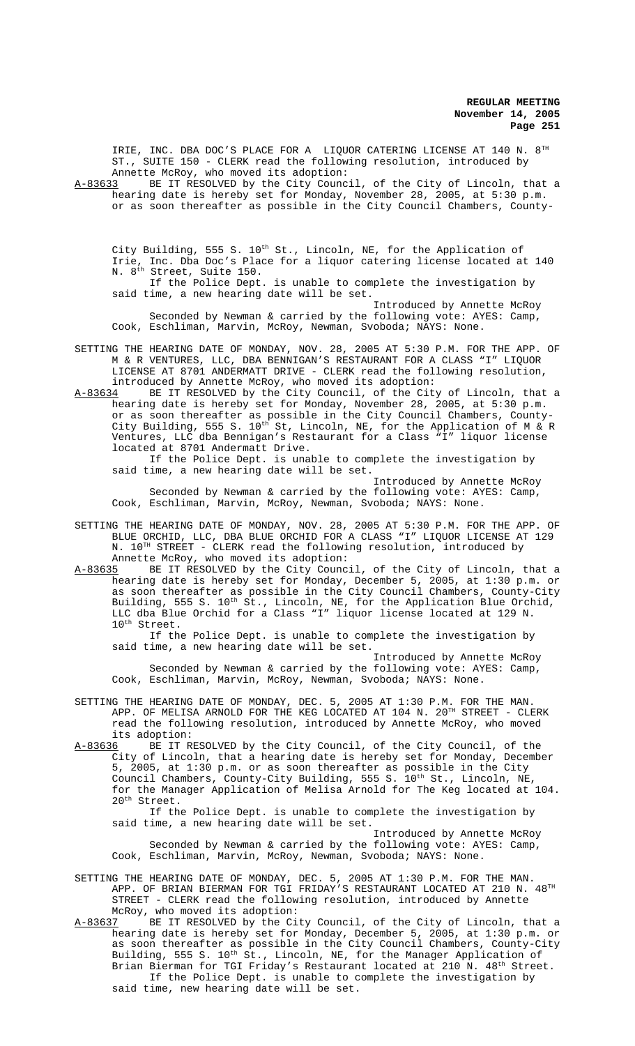IRIE, INC. DBA DOC'S PLACE FOR A LIQUOR CATERING LICENSE AT 140 N. 8TH ST., SUITE 150 - CLERK read the following resolution, introduced by Annette McRoy, who moved its adoption:

A-83633 BE IT RESOLVED by the City Council, of the City of Lincoln, that a hearing date is hereby set for Monday, November 28, 2005, at 5:30 p.m. or as soon thereafter as possible in the City Council Chambers, County-

City Building, 555 S. 10<sup>th</sup> St., Lincoln, NE, for the Application of Irie, Inc. Dba Doc's Place for a liquor catering license located at 140 N. 8<sup>th</sup> Street, Suite 150.

If the Police Dept. is unable to complete the investigation by said time, a new hearing date will be set.

Introduced by Annette McRoy Seconded by Newman & carried by the following vote: AYES: Camp, Cook, Eschliman, Marvin, McRoy, Newman, Svoboda; NAYS: None.

- SETTING THE HEARING DATE OF MONDAY, NOV. 28, 2005 AT 5:30 P.M. FOR THE APP. OF M & R VENTURES, LLC, DBA BENNIGAN'S RESTAURANT FOR A CLASS "I" LIQUOR LICENSE AT 8701 ANDERMATT DRIVE - CLERK read the following resolution, introduced by Annette McRoy, who moved its adoption:
- A-83634 BE IT RESOLVED by the City Council, of the City of Lincoln, that a hearing date is hereby set for Monday, November 28, 2005, at 5:30 p.m. or as soon thereafter as possible in the City Council Chambers, County-City Building, 555 S. 10<sup>th</sup> St, Lincoln, NE, for the Application of M & R Ventures, LLC dba Bennigan's Restaurant for a Class "I" liquor license located at 8701 Andermatt Drive.

If the Police Dept. is unable to complete the investigation by said time, a new hearing date will be set.

Introduced by Annette McRoy Seconded by Newman & carried by the following vote: AYES: Camp, Cook, Eschliman, Marvin, McRoy, Newman, Svoboda; NAYS: None.

- SETTING THE HEARING DATE OF MONDAY, NOV. 28, 2005 AT 5:30 P.M. FOR THE APP. OF BLUE ORCHID, LLC, DBA BLUE ORCHID FOR A CLASS "I" LIQUOR LICENSE AT 129 N. 10TH STREET - CLERK read the following resolution, introduced by Annette McRoy, who moved its adoption:
- A-83635 BE IT RESOLVED by the City Council, of the City of Lincoln, that a hearing date is hereby set for Monday, December 5, 2005, at 1:30 p.m. or as soon thereafter as possible in the City Council Chambers, County-City Building, 555 S. 10<sup>th</sup> St., Lincoln, NE, for the Application Blue Orchid, LLC dba Blue Orchid for a Class "I" liquor license located at 129 N. 10<sup>th</sup> Street.

If the Police Dept. is unable to complete the investigation by said time, a new hearing date will be set.

Introduced by Annette McRoy Seconded by Newman & carried by the following vote: AYES: Camp, Cook, Eschliman, Marvin, McRoy, Newman, Svoboda; NAYS: None.

- SETTING THE HEARING DATE OF MONDAY, DEC. 5, 2005 AT 1:30 P.M. FOR THE MAN. APP. OF MELISA ARNOLD FOR THE KEG LOCATED AT  $104$  N.  $20^\mathrm{TH}$  STREET - CLERK read the following resolution, introduced by Annette McRoy, who moved its adoption:
- A-83636 BE IT RESOLVED by the City Council, of the City Council, of the City of Lincoln, that a hearing date is hereby set for Monday, December 5, 2005, at 1:30 p.m. or as soon thereafter as possible in the City Council Chambers, County-City Building, 555 S. 10<sup>th</sup> St., Lincoln, NE, for the Manager Application of Melisa Arnold for The Keg located at 104. 20<sup>th</sup> Street.

If the Police Dept. is unable to complete the investigation by said time, a new hearing date will be set.

Introduced by Annette McRoy Seconded by Newman & carried by the following vote: AYES: Camp, Cook, Eschliman, Marvin, McRoy, Newman, Svoboda; NAYS: None.

- SETTING THE HEARING DATE OF MONDAY, DEC. 5, 2005 AT 1:30 P.M. FOR THE MAN. APP. OF BRIAN BIERMAN FOR TGI FRIDAY'S RESTAURANT LOCATED AT 210 N. 48TH STREET - CLERK read the following resolution, introduced by Annette McRoy, who moved its adoption:
- A-83637 BE IT RESOLVED by the City Council, of the City of Lincoln, that a hearing date is hereby set for Monday, December 5, 2005, at 1:30 p.m. or as soon thereafter as possible in the City Council Chambers, County-City Building, 555 S. 10<sup>th</sup> St., Lincoln, NE, for the Manager Application of Brian Bierman for TGI Friday's Restaurant located at  $210\ N.$   $48^{th}$  Street. If the Police Dept. is unable to complete the investigation by said time, new hearing date will be set.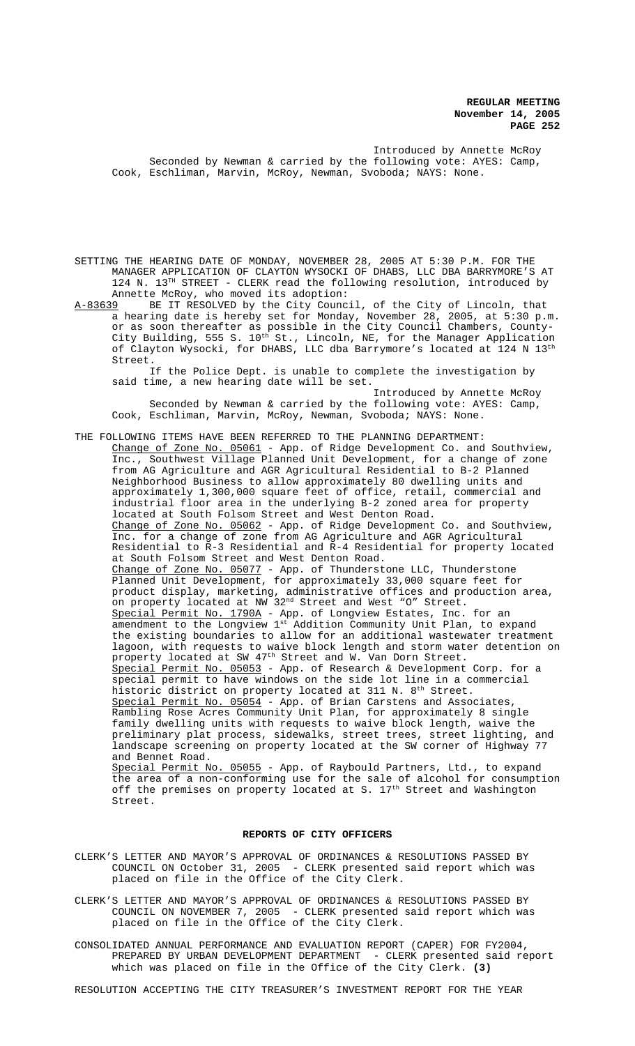Introduced by Annette McRoy Seconded by Newman & carried by the following vote: AYES: Camp, Cook, Eschliman, Marvin, McRoy, Newman, Svoboda; NAYS: None.

SETTING THE HEARING DATE OF MONDAY, NOVEMBER 28, 2005 AT 5:30 P.M. FOR THE MANAGER APPLICATION OF CLAYTON WYSOCKI OF DHABS, LLC DBA BARRYMORE'S AT 124 N.  $13^{TH}$  STREET - CLERK read the following resolution, introduced by

Annette McRoy, who moved its adoption:<br>A-83639 BE IT RESOLVED by the City Counc BE IT RESOLVED by the City Council, of the City of Lincoln, that a hearing date is hereby set for Monday, November 28, 2005, at 5:30 p.m. or as soon thereafter as possible in the City Council Chambers, County-City Building, 555 S.  $10^{\text{th}}$  St., Lincoln, NE, for the Manager Application of Clayton Wysocki, for DHABS, LLC dba Barrymore's located at 124 N  $13^{\rm th}$ Street.

If the Police Dept. is unable to complete the investigation by said time, a new hearing date will be set.

Introduced by Annette McRoy Seconded by Newman & carried by the following vote: AYES: Camp, Cook, Eschliman, Marvin, McRoy, Newman, Svoboda; NAYS: None.

THE FOLLOWING ITEMS HAVE BEEN REFERRED TO THE PLANNING DEPARTMENT: Change of Zone No. 05061 - App. of Ridge Development Co. and Southview, Inc., Southwest Village Planned Unit Development, for a change of zone from AG Agriculture and AGR Agricultural Residential to B-2 Planned Neighborhood Business to allow approximately 80 dwelling units and approximately 1,300,000 square feet of office, retail, commercial and industrial floor area in the underlying B-2 zoned area for property located at South Folsom Street and West Denton Road. Change of Zone No. 05062 - App. of Ridge Development Co. and Southview, Inc. for a change of zone from AG Agriculture and AGR Agricultural Residential to R-3 Residential and R-4 Residential for property located at South Folsom Street and West Denton Road. Change of Zone No. 05077 - App. of Thunderstone LLC, Thunderstone Planned Unit Development, for approximately 33,000 square feet for product display, marketing, administrative offices and production area, on property located at NW 32<sup>nd</sup> Street and West "O" Street. Special Permit No. 1790A - App. of Longview Estates, Inc. for an amendment to the Longview 1st Addition Community Unit Plan, to expand the existing boundaries to allow for an additional wastewater treatment lagoon, with requests to waive block length and storm water detention on property located at SW 47<sup>th</sup> Street and W. Van Dorn Street. Special Permit No. 05053 - App. of Research & Development Corp. for a special permit to have windows on the side lot line in a commercial historic district on property located at 311 N.  $8<sup>th</sup>$  Street. Special Permit No. 05054 - App. of Brian Carstens and Associates, Rambling Rose Acres Community Unit Plan, for approximately 8 single family dwelling units with requests to waive block length, waive the preliminary plat process, sidewalks, street trees, street lighting, and landscape screening on property located at the SW corner of Highway 77 and Bennet Road. Special Permit No. 05055 - App. of Raybould Partners, Ltd., to expand the area of a non-conforming use for the sale of alcohol for consumption off the premises on property located at S.  $17^{\text{th}}$  Street and Washington Street.

#### **REPORTS OF CITY OFFICERS**

- CLERK'S LETTER AND MAYOR'S APPROVAL OF ORDINANCES & RESOLUTIONS PASSED BY COUNCIL ON October 31, 2005 - CLERK presented said report which was placed on file in the Office of the City Clerk.
- CLERK'S LETTER AND MAYOR'S APPROVAL OF ORDINANCES & RESOLUTIONS PASSED BY COUNCIL ON NOVEMBER 7, 2005 - CLERK presented said report which was placed on file in the Office of the City Clerk.
- CONSOLIDATED ANNUAL PERFORMANCE AND EVALUATION REPORT (CAPER) FOR FY2004, PREPARED BY URBAN DEVELOPMENT DEPARTMENT - CLERK presented said report which was placed on file in the Office of the City Clerk. **(3)**

RESOLUTION ACCEPTING THE CITY TREASURER'S INVESTMENT REPORT FOR THE YEAR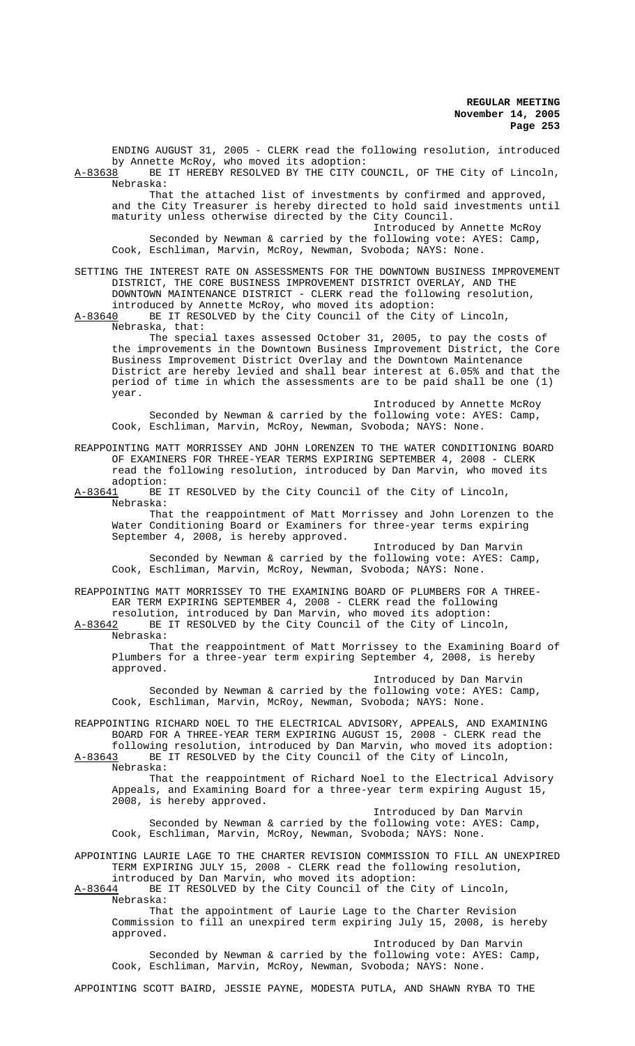ENDING AUGUST 31, 2005 - CLERK read the following resolution, introduced by Annette McRoy, who moved its adoption:<br>A-83638 BE IT HEREBY RESOLVED BY THE CITY C BE IT HEREBY RESOLVED BY THE CITY COUNCIL, OF THE City of Lincoln, Nebraska: That the attached list of investments by confirmed and approved, and the City Treasurer is hereby directed to hold said investments until maturity unless otherwise directed by the City Council. Introduced by Annette McRoy Seconded by Newman & carried by the following vote: AYES: Camp, Cook, Eschliman, Marvin, McRoy, Newman, Svoboda; NAYS: None. SETTING THE INTEREST RATE ON ASSESSMENTS FOR THE DOWNTOWN BUSINESS IMPROVEMENT DISTRICT, THE CORE BUSINESS IMPROVEMENT DISTRICT OVERLAY, AND THE DOWNTOWN MAINTENANCE DISTRICT - CLERK read the following resolution, introduced by Annette McRoy, who moved its adoption:<br>A-83640 BE IT RESOLVED by the City Council of the City BE IT RESOLVED by the City Council of the City of Lincoln, Nebraska, that: The special taxes assessed October 31, 2005, to pay the costs of the improvements in the Downtown Business Improvement District, the Core Business Improvement District Overlay and the Downtown Maintenance District are hereby levied and shall bear interest at 6.05% and that the period of time in which the assessments are to be paid shall be one (1) year. Introduced by Annette McRoy Seconded by Newman & carried by the following vote: AYES: Camp, Cook, Eschliman, Marvin, McRoy, Newman, Svoboda; NAYS: None. REAPPOINTING MATT MORRISSEY AND JOHN LORENZEN TO THE WATER CONDITIONING BOARD OF EXAMINERS FOR THREE-YEAR TERMS EXPIRING SEPTEMBER 4, 2008 - CLERK read the following resolution, introduced by Dan Marvin, who moved its adoption:<br>A-83641 BE BE IT RESOLVED by the City Council of the City of Lincoln, Nebraska: That the reappointment of Matt Morrissey and John Lorenzen to the Water Conditioning Board or Examiners for three-year terms expiring September 4, 2008, is hereby approved. Introduced by Dan Marvin Seconded by Newman & carried by the following vote: AYES: Camp, Cook, Eschliman, Marvin, McRoy, Newman, Svoboda; NAYS: None. REAPPOINTING MATT MORRISSEY TO THE EXAMINING BOARD OF PLUMBERS FOR A THREE-EAR TERM EXPIRING SEPTEMBER 4, 2008 - CLERK read the following resolution, introduced by Dan Marvin, who moved its adoption: A-83642 BE IT RESOLVED by the City Council of the City of Lincoln, Nebraska: That the reappointment of Matt Morrissey to the Examining Board of Plumbers for a three-year term expiring September 4, 2008, is hereby approved. Introduced by Dan Marvin Seconded by Newman & carried by the following vote: AYES: Camp, Cook, Eschliman, Marvin, McRoy, Newman, Svoboda; NAYS: None. REAPPOINTING RICHARD NOEL TO THE ELECTRICAL ADVISORY, APPEALS, AND EXAMINING BOARD FOR A THREE-YEAR TERM EXPIRING AUGUST 15, 2008 - CLERK read the following resolution, introduced by Dan Marvin, who moved its adoption: A-83643 BE IT RESOLVED by the City Council of the City of Lincoln, Nebraska: That the reappointment of Richard Noel to the Electrical Advisory Appeals, and Examining Board for a three-year term expiring August 15, 2008, is hereby approved. Introduced by Dan Marvin Seconded by Newman & carried by the following vote: AYES: Camp, Cook, Eschliman, Marvin, McRoy, Newman, Svoboda; NAYS: None. APPOINTING LAURIE LAGE TO THE CHARTER REVISION COMMISSION TO FILL AN UNEXPIRED TERM EXPIRING JULY 15, 2008 - CLERK read the following resolution, introduced by Dan Marvin, who moved its adoption:<br>A-83644 BE IT RESOLVED by the City Council of the C BE IT RESOLVED by the City Council of the City of Lincoln, Nebraska: That the appointment of Laurie Lage to the Charter Revision Commission to fill an unexpired term expiring July 15, 2008, is hereby approved. Introduced by Dan Marvin Seconded by Newman & carried by the following vote: AYES: Camp, Cook, Eschliman, Marvin, McRoy, Newman, Svoboda; NAYS: None.

APPOINTING SCOTT BAIRD, JESSIE PAYNE, MODESTA PUTLA, AND SHAWN RYBA TO THE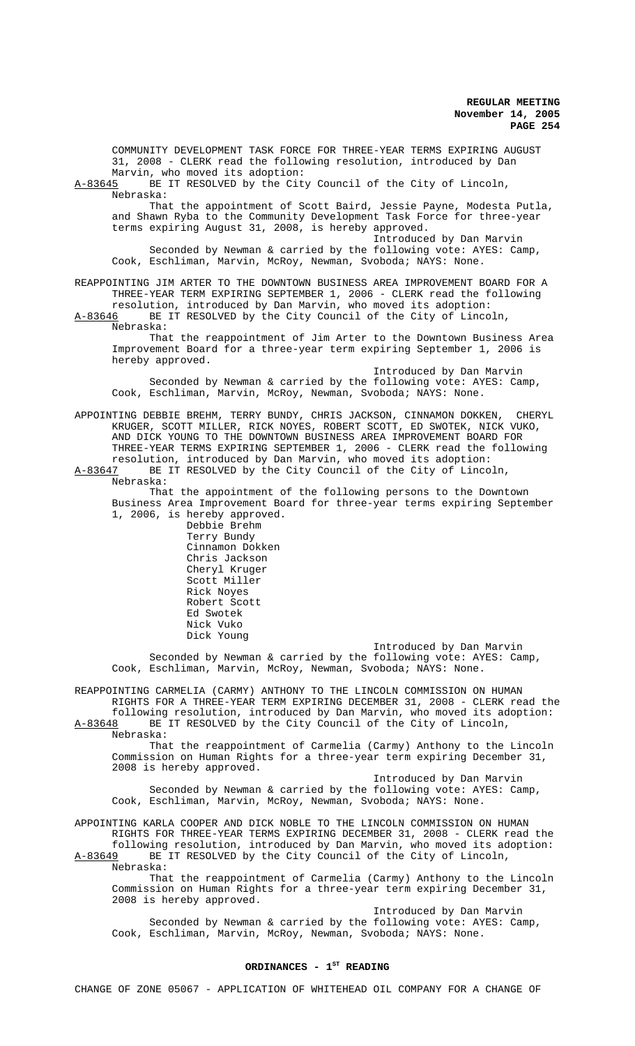COMMUNITY DEVELOPMENT TASK FORCE FOR THREE-YEAR TERMS EXPIRING AUGUST 31, 2008 - CLERK read the following resolution, introduced by Dan Marvin, who moved its adoption:<br>A-83645 BE IT RESOLVED by the Cit BE IT RESOLVED by the City Council of the City of Lincoln, Nebraska: That the appointment of Scott Baird, Jessie Payne, Modesta Putla, and Shawn Ryba to the Community Development Task Force for three-year terms expiring August 31, 2008, is hereby approved. Introduced by Dan Marvin Seconded by Newman & carried by the following vote: AYES: Camp, Cook, Eschliman, Marvin, McRoy, Newman, Svoboda; NAYS: None. REAPPOINTING JIM ARTER TO THE DOWNTOWN BUSINESS AREA IMPROVEMENT BOARD FOR A THREE-YEAR TERM EXPIRING SEPTEMBER 1, 2006 - CLERK read the following resolution, introduced by Dan Marvin, who moved its adoption: A-83646 BE IT RESOLVED by the City Council of the City of Lincoln, Nebraska: That the reappointment of Jim Arter to the Downtown Business Area Improvement Board for a three-year term expiring September 1, 2006 is hereby approved. Introduced by Dan Marvin Seconded by Newman & carried by the following vote: AYES: Camp, Cook, Eschliman, Marvin, McRoy, Newman, Svoboda; NAYS: None. APPOINTING DEBBIE BREHM, TERRY BUNDY, CHRIS JACKSON, CINNAMON DOKKEN, CHERYL KRUGER, SCOTT MILLER, RICK NOYES, ROBERT SCOTT, ED SWOTEK, NICK VUKO, AND DICK YOUNG TO THE DOWNTOWN BUSINESS AREA IMPROVEMENT BOARD FOR THREE-YEAR TERMS EXPIRING SEPTEMBER 1, 2006 - CLERK read the following resolution, introduced by Dan Marvin, who moved its adoption:<br>A-83647 BE IT RESOLVED by the City Council of the City of Linco BE IT RESOLVED by the City Council of the City of Lincoln, Nebraska: That the appointment of the following persons to the Downtown Business Area Improvement Board for three-year terms expiring September 1, 2006, is hereby approved. Debbie Brehm Terry Bundy Cinnamon Dokken Chris Jackson Cheryl Kruger Scott Miller Rick Noyes Robert Scott Ed Swotek Nick Vuko Dick Young Introduced by Dan Marvin Seconded by Newman & carried by the following vote: AYES: Camp, Cook, Eschliman, Marvin, McRoy, Newman, Svoboda; NAYS: None. REAPPOINTING CARMELIA (CARMY) ANTHONY TO THE LINCOLN COMMISSION ON HUMAN RIGHTS FOR A THREE-YEAR TERM EXPIRING DECEMBER 31, 2008 - CLERK read the following resolution, introduced by Dan Marvin, who moved its adoption:<br>A-83648 BE IT RESOLVED by the City Council of the City of Lincoln, BE IT RESOLVED by the City Council of the City of Lincoln, Nebraska: That the reappointment of Carmelia (Carmy) Anthony to the Lincoln Commission on Human Rights for a three-year term expiring December 31, 2008 is hereby approved. Introduced by Dan Marvin Seconded by Newman & carried by the following vote: AYES: Camp, Cook, Eschliman, Marvin, McRoy, Newman, Svoboda; NAYS: None. APPOINTING KARLA COOPER AND DICK NOBLE TO THE LINCOLN COMMISSION ON HUMAN RIGHTS FOR THREE-YEAR TERMS EXPIRING DECEMBER 31, 2008 - CLERK read the following resolution, introduced by Dan Marvin, who moved its adoption: A-83649 BE IT RESOLVED by the City Council of the City of Lincoln, Nebraska: That the reappointment of Carmelia (Carmy) Anthony to the Lincoln Commission on Human Rights for a three-year term expiring December 31,

2008 is hereby approved. Introduced by Dan Marvin Seconded by Newman & carried by the following vote: AYES: Camp,

Cook, Eschliman, Marvin, McRoy, Newman, Svoboda; NAYS: None.

## ORDINANCES - 1<sup>ST</sup> READING

CHANGE OF ZONE 05067 - APPLICATION OF WHITEHEAD OIL COMPANY FOR A CHANGE OF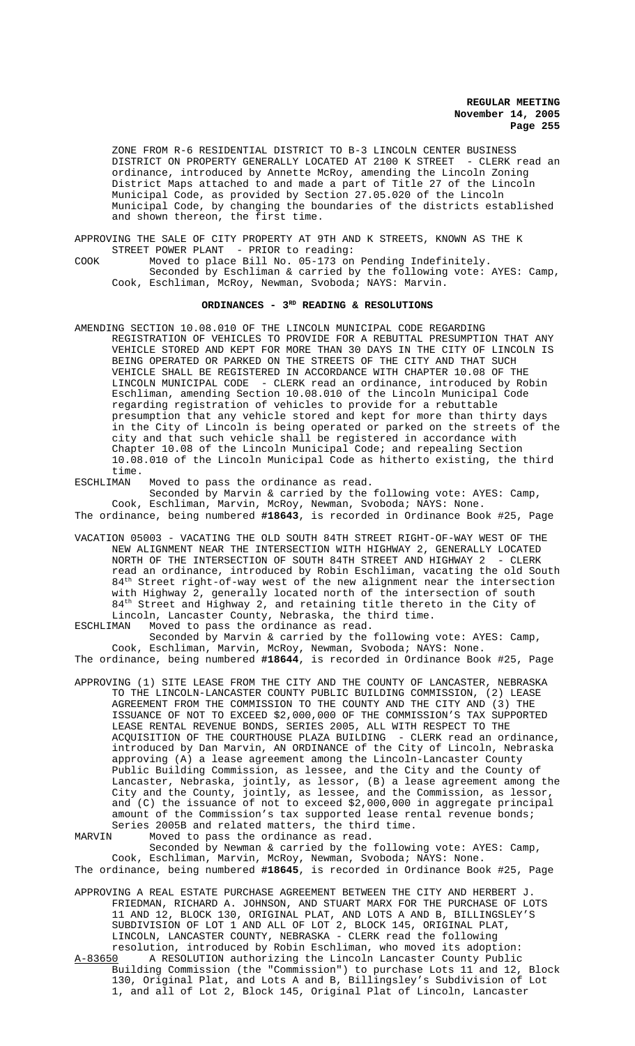ZONE FROM R-6 RESIDENTIAL DISTRICT TO B-3 LINCOLN CENTER BUSINESS DISTRICT ON PROPERTY GENERALLY LOCATED AT 2100 K STREET - CLERK read an ordinance, introduced by Annette McRoy, amending the Lincoln Zoning District Maps attached to and made a part of Title 27 of the Lincoln Municipal Code, as provided by Section 27.05.020 of the Lincoln Municipal Code, by changing the boundaries of the districts established and shown thereon, the first time.

APPROVING THE SALE OF CITY PROPERTY AT 9TH AND K STREETS, KNOWN AS THE K STREET POWER PLANT - PRIOR to reading:

COOK Moved to place Bill No. 05-173 on Pending Indefinitely. Seconded by Eschliman & carried by the following vote: AYES: Camp, Cook, Eschliman, McRoy, Newman, Svoboda; NAYS: Marvin.

# ORDINANCES - 3<sup>RD</sup> READING & RESOLUTIONS

AMENDING SECTION 10.08.010 OF THE LINCOLN MUNICIPAL CODE REGARDING REGISTRATION OF VEHICLES TO PROVIDE FOR A REBUTTAL PRESUMPTION THAT ANY VEHICLE STORED AND KEPT FOR MORE THAN 30 DAYS IN THE CITY OF LINCOLN IS BEING OPERATED OR PARKED ON THE STREETS OF THE CITY AND THAT SUCH VEHICLE SHALL BE REGISTERED IN ACCORDANCE WITH CHAPTER 10.08 OF THE LINCOLN MUNICIPAL CODE - CLERK read an ordinance, introduced by Robin Eschliman, amending Section 10.08.010 of the Lincoln Municipal Code regarding registration of vehicles to provide for a rebuttable presumption that any vehicle stored and kept for more than thirty days in the City of Lincoln is being operated or parked on the streets of the city and that such vehicle shall be registered in accordance with Chapter 10.08 of the Lincoln Municipal Code; and repealing Section 10.08.010 of the Lincoln Municipal Code as hitherto existing, the third time.<br>ESCHLIMAN

ESCHLIMAN Moved to pass the ordinance as read.

Seconded by Marvin & carried by the following vote: AYES: Camp, Cook, Eschliman, Marvin, McRoy, Newman, Svoboda; NAYS: None. The ordinance, being numbered **#18643**, is recorded in Ordinance Book #25, Page

VACATION 05003 - VACATING THE OLD SOUTH 84TH STREET RIGHT-OF-WAY WEST OF THE NEW ALIGNMENT NEAR THE INTERSECTION WITH HIGHWAY 2, GENERALLY LOCATED NORTH OF THE INTERSECTION OF SOUTH 84TH STREET AND HIGHWAY 2 - CLERK read an ordinance, introduced by Robin Eschliman, vacating the old South 84<sup>th</sup> Street right-of-way west of the new alignment near the intersection with Highway 2, generally located north of the intersection of south 84<sup>th</sup> Street and Highway 2, and retaining title thereto in the City of Lincoln, Lancaster County, Nebraska, the third time.<br>ESCHLIMAN Moved to pass the ordinance as read.

Moved to pass the ordinance as read.

Seconded by Marvin & carried by the following vote: AYES: Camp, Cook, Eschliman, Marvin, McRoy, Newman, Svoboda; NAYS: None. The ordinance, being numbered **#18644**, is recorded in Ordinance Book #25, Page

APPROVING (1) SITE LEASE FROM THE CITY AND THE COUNTY OF LANCASTER, NEBRASKA TO THE LINCOLN-LANCASTER COUNTY PUBLIC BUILDING COMMISSION, (2) LEASE AGREEMENT FROM THE COMMISSION TO THE COUNTY AND THE CITY AND (3) THE ISSUANCE OF NOT TO EXCEED \$2,000,000 OF THE COMMISSION'S TAX SUPPORTED LEASE RENTAL REVENUE BONDS, SERIES 2005, ALL WITH RESPECT TO THE ACQUISITION OF THE COURTHOUSE PLAZA BUILDING - CLERK read an ordinance, introduced by Dan Marvin, AN ORDINANCE of the City of Lincoln, Nebraska approving (A) a lease agreement among the Lincoln-Lancaster County Public Building Commission, as lessee, and the City and the County of Lancaster, Nebraska, jointly, as lessor, (B) a lease agreement among the City and the County, jointly, as lessee, and the Commission, as lessor, and (C) the issuance of not to exceed \$2,000,000 in aggregate principal amount of the Commission's tax supported lease rental revenue bonds; Series 2005B and related matters, the third time.<br>MARVIN Moved to pass the ordinance as read.

Moved to pass the ordinance as read.

Seconded by Newman & carried by the following vote: AYES: Camp, Cook, Eschliman, Marvin, McRoy, Newman, Svoboda; NAYS: None. The ordinance, being numbered **#18645**, is recorded in Ordinance Book #25, Page

- APPROVING A REAL ESTATE PURCHASE AGREEMENT BETWEEN THE CITY AND HERBERT J. FRIEDMAN, RICHARD A. JOHNSON, AND STUART MARX FOR THE PURCHASE OF LOTS 11 AND 12, BLOCK 130, ORIGINAL PLAT, AND LOTS A AND B, BILLINGSLEY'S SUBDIVISION OF LOT 1 AND ALL OF LOT 2, BLOCK 145, ORIGINAL PLAT, LINCOLN, LANCASTER COUNTY, NEBRASKA - CLERK read the following resolution, introduced by Robin Eschliman, who moved its adoption:<br>A-83650 A RESOLUTION authorizing the Lincoln Lancaster County Public A RESOLUTION authorizing the Lincoln Lancaster County Public
- Building Commission (the "Commission") to purchase Lots 11 and 12, Block 130, Original Plat, and Lots A and B, Billingsley's Subdivision of Lot 1, and all of Lot 2, Block 145, Original Plat of Lincoln, Lancaster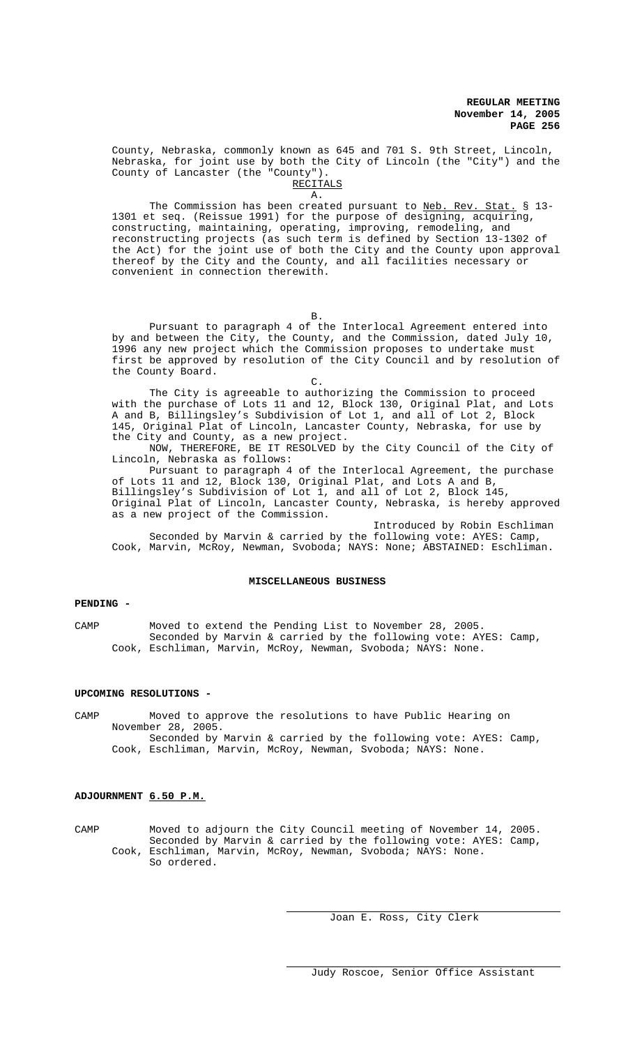County, Nebraska, commonly known as 645 and 701 S. 9th Street, Lincoln, Nebraska, for joint use by both the City of Lincoln (the "City") and the County of Lancaster (the "County").

RECITALS A.

The Commission has been created pursuant to Neb. Rev. Stat. § 13-1301 et seq. (Reissue 1991) for the purpose of designing, acquiring, constructing, maintaining, operating, improving, remodeling, and reconstructing projects (as such term is defined by Section 13-1302 of the Act) for the joint use of both the City and the County upon approval thereof by the City and the County, and all facilities necessary or convenient in connection therewith.

B.

Pursuant to paragraph 4 of the Interlocal Agreement entered into by and between the City, the County, and the Commission, dated July 10, 1996 any new project which the Commission proposes to undertake must first be approved by resolution of the City Council and by resolution of the County Board.

The City is agreeable to authorizing the Commission to proceed with the purchase of Lots 11 and 12, Block 130, Original Plat, and Lots A and B, Billingsley's Subdivision of Lot 1, and all of Lot 2, Block 145, Original Plat of Lincoln, Lancaster County, Nebraska, for use by the City and County, as a new project.

C.

NOW, THEREFORE, BE IT RESOLVED by the City Council of the City of Lincoln, Nebraska as follows:

Pursuant to paragraph 4 of the Interlocal Agreement, the purchase of Lots 11 and 12, Block 130, Original Plat, and Lots A and B, Billingsley's Subdivision of Lot 1, and all of Lot 2, Block 145, Original Plat of Lincoln, Lancaster County, Nebraska, is hereby approved as a new project of the Commission.

Introduced by Robin Eschliman Seconded by Marvin & carried by the following vote: AYES: Camp, Cook, Marvin, McRoy, Newman, Svoboda; NAYS: None; ABSTAINED: Eschliman.

### **MISCELLANEOUS BUSINESS**

# **PENDING -**

CAMP Moved to extend the Pending List to November 28, 2005. Seconded by Marvin & carried by the following vote: AYES: Camp, Cook, Eschliman, Marvin, McRoy, Newman, Svoboda; NAYS: None.

## **UPCOMING RESOLUTIONS -**

CAMP Moved to approve the resolutions to have Public Hearing on November 28, 2005. Seconded by Marvin & carried by the following vote: AYES: Camp, Cook, Eschliman, Marvin, McRoy, Newman, Svoboda; NAYS: None.

# **ADJOURNMENT 6.50 P.M.**

CAMP Moved to adjourn the City Council meeting of November 14, 2005. Seconded by Marvin & carried by the following vote: AYES: Camp, Cook, Eschliman, Marvin, McRoy, Newman, Svoboda; NAYS: None. So ordered.

Joan E. Ross, City Clerk